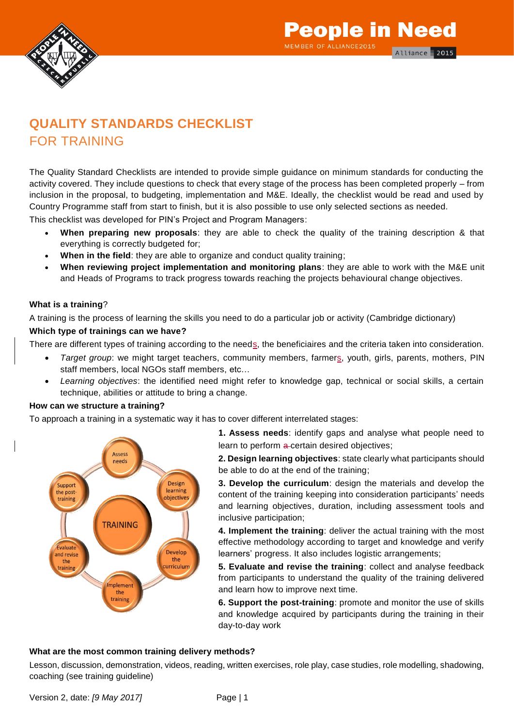

### **QUALITY STANDARDS CHECKLIST** FOR TRAINING

The Quality Standard Checklists are intended to provide simple guidance on minimum standards for conducting the activity covered. They include questions to check that every stage of the process has been completed properly – from inclusion in the proposal, to budgeting, implementation and M&E. Ideally, the checklist would be read and used by Country Programme staff from start to finish, but it is also possible to use only selected sections as needed.

This checklist was developed for PIN's Project and Program Managers:

- **When preparing new proposals**: they are able to check the quality of the training description & that everything is correctly budgeted for;
- **When in the field:** they are able to organize and conduct quality training;
- **When reviewing project implementation and monitoring plans**: they are able to work with the M&E unit and Heads of Programs to track progress towards reaching the projects behavioural change objectives.

#### **What is a training**?

A training is the process of learning the skills you need to do a particular job or activity (Cambridge dictionary)

#### **Which type of trainings can we have?**

There are different types of training according to the needs, the beneficiaires and the criteria taken into consideration.

- *Target group*: we might target teachers, community members, farmers, youth, girls, parents, mothers, PIN staff members, local NGOs staff members, etc…
- *Learning objectives*: the identified need might refer to knowledge gap, technical or social skills, a certain technique, abilities or attitude to bring a change.

#### **How can we structure a training?**

To approach a training in a systematic way it has to cover different interrelated stages:



**1. Assess needs**: identify gaps and analyse what people need to learn to perform a-certain desired objectives;

**2. Design learning objectives**: state clearly what participants should be able to do at the end of the training;

**3. Develop the curriculum**: design the materials and develop the content of the training keeping into consideration participants' needs and learning objectives, duration, including assessment tools and inclusive participation;

**4. Implement the training**: deliver the actual training with the most effective methodology according to target and knowledge and verify learners' progress. It also includes logistic arrangements;

**5. Evaluate and revise the training**: collect and analyse feedback from participants to understand the quality of the training delivered and learn how to improve next time.

**6. Support the post-training**: promote and monitor the use of skills and knowledge acquired by participants during the training in their day-to-day work

#### **What are the most common training delivery methods?**

Lesson, discussion, demonstration, videos, reading, written exercises, role play, case studies, role modelling, shadowing, coaching (see training guideline)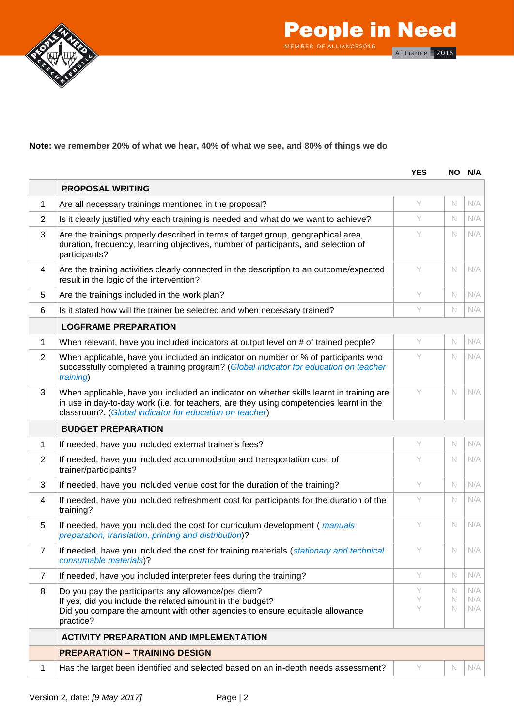



#### **Note: we remember 20% of what we hear, 40% of what we see, and 80% of things we do**

|                |                                                                                                                                                                                                                                                | <b>YES</b>  |             | NO N/A            |
|----------------|------------------------------------------------------------------------------------------------------------------------------------------------------------------------------------------------------------------------------------------------|-------------|-------------|-------------------|
|                | <b>PROPOSAL WRITING</b>                                                                                                                                                                                                                        |             |             |                   |
| 1              | Are all necessary trainings mentioned in the proposal?                                                                                                                                                                                         | Y           | $\mathbb N$ | N/A               |
| $\overline{2}$ | Is it clearly justified why each training is needed and what do we want to achieve?                                                                                                                                                            | Y           | N           | N/A               |
| 3              | Are the trainings properly described in terms of target group, geographical area,<br>duration, frequency, learning objectives, number of participants, and selection of<br>participants?                                                       | Y           | N.          | N/A               |
| 4              | Are the training activities clearly connected in the description to an outcome/expected<br>result in the logic of the intervention?                                                                                                            | Y           | N           | N/A               |
| 5              | Are the trainings included in the work plan?                                                                                                                                                                                                   | Y           | N           | N/A               |
| 6              | Is it stated how will the trainer be selected and when necessary trained?                                                                                                                                                                      | Y           | N           | N/A               |
|                | <b>LOGFRAME PREPARATION</b>                                                                                                                                                                                                                    |             |             |                   |
| 1              | When relevant, have you included indicators at output level on # of trained people?                                                                                                                                                            | Y           | N           | N/A               |
| 2              | When applicable, have you included an indicator on number or % of participants who<br>successfully completed a training program? (Global indicator for education on teacher<br>training)                                                       | Y           | N           | N/A               |
| 3              | When applicable, have you included an indicator on whether skills learnt in training are<br>in use in day-to-day work (i.e. for teachers, are they using competencies learnt in the<br>classroom?. (Global indicator for education on teacher) | Y           | $\mathbb N$ | N/A               |
|                | <b>BUDGET PREPARATION</b>                                                                                                                                                                                                                      |             |             |                   |
| 1              | If needed, have you included external trainer's fees?                                                                                                                                                                                          | Y           | N           | N/A               |
| $\overline{2}$ | If needed, have you included accommodation and transportation cost of<br>trainer/participants?                                                                                                                                                 | Y           | N           | N/A               |
| 3              | If needed, have you included venue cost for the duration of the training?                                                                                                                                                                      | Y           | N.          | N/A               |
| 4              | If needed, have you included refreshment cost for participants for the duration of the<br>training?                                                                                                                                            | Y           | N           | N/A               |
| 5              | If needed, have you included the cost for curriculum development (manuals<br>preparation, translation, printing and distribution)?                                                                                                             | Y           | $\mathbb N$ | N/A               |
| 7              | If needed, have you included the cost for training materials (stationary and technical<br>consumable materials)?                                                                                                                               | Y           | $\mathbb N$ | N/A               |
| $\overline{7}$ | If needed, have you included interpreter fees during the training?                                                                                                                                                                             | Y           | $\mathbb N$ | N/A               |
| 8              | Do you pay the participants any allowance/per diem?<br>If yes, did you include the related amount in the budget?<br>Did you compare the amount with other agencies to ensure equitable allowance<br>practice?                                  | Y<br>Υ<br>Y | N<br>N<br>N | N/A<br>N/A<br>N/A |
|                | <b>ACTIVITY PREPARATION AND IMPLEMENTATION</b>                                                                                                                                                                                                 |             |             |                   |
|                | <b>PREPARATION - TRAINING DESIGN</b>                                                                                                                                                                                                           |             |             |                   |
| 1              | Has the target been identified and selected based on an in-depth needs assessment?                                                                                                                                                             | Y           | N           | N/A               |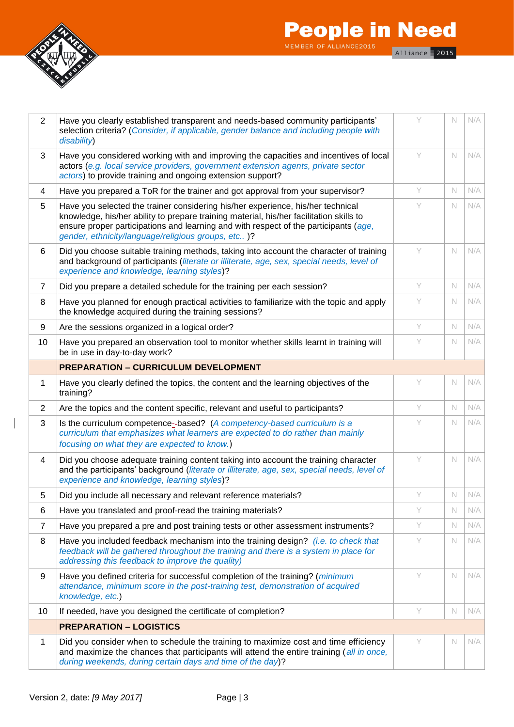

 $\overline{\phantom{a}}$ 

| $\overline{2}$ | Have you clearly established transparent and needs-based community participants'<br>selection criteria? (Consider, if applicable, gender balance and including people with<br>disability)                                                                                                                                | Υ | $\mathbb N$ | N/A |
|----------------|--------------------------------------------------------------------------------------------------------------------------------------------------------------------------------------------------------------------------------------------------------------------------------------------------------------------------|---|-------------|-----|
| 3              | Have you considered working with and improving the capacities and incentives of local<br>actors (e.g. local service providers, government extension agents, private sector<br>actors) to provide training and ongoing extension support?                                                                                 | Y | $\mathbb N$ | N/A |
| 4              | Have you prepared a ToR for the trainer and got approval from your supervisor?                                                                                                                                                                                                                                           | Y | $\mathbb N$ | N/A |
| 5              | Have you selected the trainer considering his/her experience, his/her technical<br>knowledge, his/her ability to prepare training material, his/her facilitation skills to<br>ensure proper participations and learning and with respect of the participants (age,<br>gender, ethnicity/language/religious groups, etc)? | Y | N.          | N/A |
| 6              | Did you choose suitable training methods, taking into account the character of training<br>and background of participants (literate or illiterate, age, sex, special needs, level of<br>experience and knowledge, learning styles)?                                                                                      | Y | $\mathbb N$ | N/A |
| $\overline{7}$ | Did you prepare a detailed schedule for the training per each session?                                                                                                                                                                                                                                                   | Y | $\mathbb N$ | N/A |
| 8              | Have you planned for enough practical activities to familiarize with the topic and apply<br>the knowledge acquired during the training sessions?                                                                                                                                                                         | Y | N.          | N/A |
| 9              | Are the sessions organized in a logical order?                                                                                                                                                                                                                                                                           | Y | $\mathbb N$ | N/A |
| 10             | Have you prepared an observation tool to monitor whether skills learnt in training will<br>be in use in day-to-day work?                                                                                                                                                                                                 | Y | N.          | N/A |
|                | <b>PREPARATION - CURRICULUM DEVELOPMENT</b>                                                                                                                                                                                                                                                                              |   |             |     |
| 1              | Have you clearly defined the topics, the content and the learning objectives of the<br>training?                                                                                                                                                                                                                         | Υ | N           | N/A |
| 2              | Are the topics and the content specific, relevant and useful to participants?                                                                                                                                                                                                                                            | Y | N.          | N/A |
| 3              | Is the curriculum competence-based? (A competency-based curriculum is a<br>curriculum that emphasizes what learners are expected to do rather than mainly<br>focusing on what they are expected to know.)                                                                                                                | Y | N.          | N/A |
| 4              | Did you choose adequate training content taking into account the training character<br>and the participants' background (literate or illiterate, age, sex, special needs, level of<br>experience and knowledge, learning styles)?                                                                                        | Y | $\mathbb N$ | N/A |
| 5              | Did you include all necessary and relevant reference materials?                                                                                                                                                                                                                                                          | Y | $\mathbb N$ | N/A |
| 6              | Have you translated and proof-read the training materials?                                                                                                                                                                                                                                                               | Y | $\mathbb N$ | N/A |
| $\overline{7}$ | Have you prepared a pre and post training tests or other assessment instruments?                                                                                                                                                                                                                                         | Y | $\mathbb N$ | N/A |
| 8              | Have you included feedback mechanism into the training design? (i.e. to check that<br>feedback will be gathered throughout the training and there is a system in place for<br>addressing this feedback to improve the quality)                                                                                           | Y | N           | N/A |
| 9              | Have you defined criteria for successful completion of the training? (minimum<br>attendance, minimum score in the post-training test, demonstration of acquired<br>knowledge, etc.)                                                                                                                                      | Y | $\mathbb N$ | N/A |
| 10             | If needed, have you designed the certificate of completion?                                                                                                                                                                                                                                                              | Y | $\mathbb N$ | N/A |
|                | <b>PREPARATION - LOGISTICS</b>                                                                                                                                                                                                                                                                                           |   |             |     |
| 1              | Did you consider when to schedule the training to maximize cost and time efficiency<br>and maximize the chances that participants will attend the entire training (all in once,<br>during weekends, during certain days and time of the day)?                                                                            | Y | N           | N/A |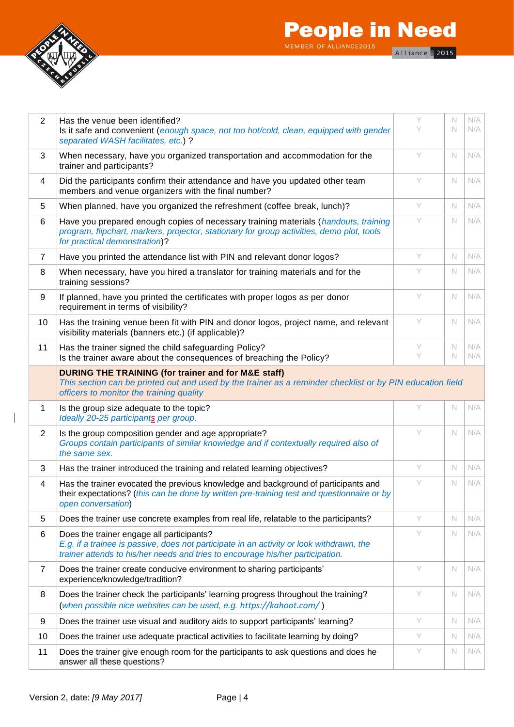

 $\overline{\phantom{a}}$ 

# **People in Need** Alliance 2015

| 2              | Has the venue been identified?<br>Is it safe and convenient (enough space, not too hot/cold, clean, equipped with gender<br>separated WASH facilitates, etc.) ?                                                         | Y<br>Y | N<br>N           | N/A<br>N/A |
|----------------|-------------------------------------------------------------------------------------------------------------------------------------------------------------------------------------------------------------------------|--------|------------------|------------|
| 3              | When necessary, have you organized transportation and accommodation for the<br>trainer and participants?                                                                                                                | Y      | N                | N/A        |
| 4              | Did the participants confirm their attendance and have you updated other team<br>members and venue organizers with the final number?                                                                                    | Y      | $\mathbb N$      | N/A        |
| 5              | When planned, have you organized the refreshment (coffee break, lunch)?                                                                                                                                                 | Y      | $\mathbb N$      | N/A        |
| 6              | Have you prepared enough copies of necessary training materials (handouts, training<br>program, flipchart, markers, projector, stationary for group activities, demo plot, tools<br>for practical demonstration)?       | Y      | $\mathbb N$      | N/A        |
| $\overline{7}$ | Have you printed the attendance list with PIN and relevant donor logos?                                                                                                                                                 | Y      | $\mathbb N$      | N/A        |
| 8              | When necessary, have you hired a translator for training materials and for the<br>training sessions?                                                                                                                    | Y      | N.               | N/A        |
| 9              | If planned, have you printed the certificates with proper logos as per donor<br>requirement in terms of visibility?                                                                                                     | Y      | $\mathbb N$      | N/A        |
| 10             | Has the training venue been fit with PIN and donor logos, project name, and relevant<br>visibility materials (banners etc.) (if applicable)?                                                                            | Y      | N                | N/A        |
| 11             | Has the trainer signed the child safeguarding Policy?<br>Is the trainer aware about the consequences of breaching the Policy?                                                                                           | Υ<br>Y | N<br>$\mathbb N$ | N/A<br>N/A |
|                | DURING THE TRAINING (for trainer and for M&E staff)<br>This section can be printed out and used by the trainer as a reminder checklist or by PIN education field<br>officers to monitor the training quality            |        |                  |            |
| 1              | Is the group size adequate to the topic?<br>Ideally 20-25 participants per group.                                                                                                                                       | Y      | $\mathbb N$      | N/A        |
|                |                                                                                                                                                                                                                         |        |                  |            |
| 2              | Is the group composition gender and age appropriate?<br>Groups contain participants of similar knowledge and if contextually required also of<br>the same sex.                                                          | Y      | N                | N/A        |
| 3              | Has the trainer introduced the training and related learning objectives?                                                                                                                                                | Y      | $\mathbb N$      | N/A        |
| $\overline{4}$ | Has the trainer evocated the previous knowledge and background of participants and<br>their expectations? (this can be done by written pre-training test and questionnaire or by<br>open conversation)                  | Y      | $\mathbb N$      | N/A        |
| 5              | Does the trainer use concrete examples from real life, relatable to the participants?                                                                                                                                   | Y      | N                | N/A        |
| 6              | Does the trainer engage all participants?<br>E.g. if a trainee is passive, does not participate in an activity or look withdrawn, the<br>trainer attends to his/her needs and tries to encourage his/her participation. | Y      | N                | N/A        |
| $\overline{7}$ | Does the trainer create conducive environment to sharing participants'<br>experience/knowledge/tradition?                                                                                                               | Y      | $\mathbb N$      | N/A        |
| 8              | Does the trainer check the participants' learning progress throughout the training?<br>(when possible nice websites can be used, e.g. https://kahoot.com/)                                                              | Y      | $\mathbb N$      | N/A        |
| 9              | Does the trainer use visual and auditory aids to support participants' learning?                                                                                                                                        | Y      | N                | N/A        |
| 10             | Does the trainer use adequate practical activities to facilitate learning by doing?                                                                                                                                     | Y      | N                | N/A        |